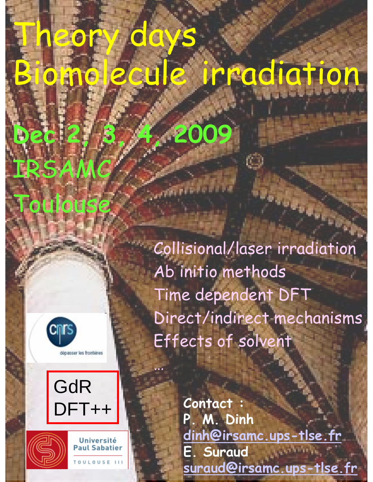# **POPY GOV** Biomolecule irradiation



**Dec 2, 3, 4, 2009**

IRSAMC

oulou





Université

…

Collisional/laser irradiation Ab initio methods Time dependent DFT Direct/indirect mechanisms Effects of solvent

Ñ.

b.

Contact **P. M. Dinh dinh@irsamc.ups-tlse.fr E. Suraud suraud@irsamc.ups-tlse.fr**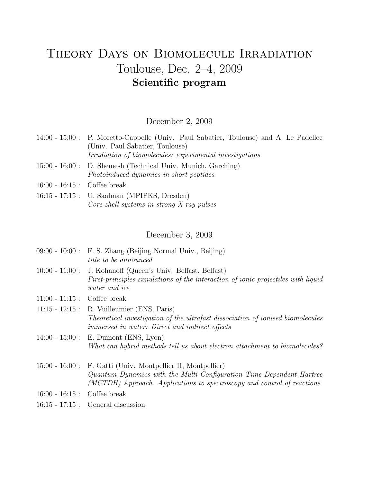## Theory Days on Biomolecule Irradiation Toulouse, Dec. 2–4, 2009 Scientific program

#### December 2, 2009

| 14:00 - 15:00 : P. Moretto-Cappelle (Univ. Paul Sabatier, Toulouse) and A. Le Padellec |
|----------------------------------------------------------------------------------------|
| (Univ. Paul Sabatier, Toulouse)                                                        |
| Irradiation of biomolecules: experimental investigations                               |
| 15:00 - 16:00 : D. Shemesh (Technical Univ. Munich, Garching)                          |

Photoinduced dynamics in short peptides

- 16:00 16:15 : Coffee break
- 16:15 17:15 : U. Saalman (MPIPKS, Dresden) Core-shell systems in strong X-ray pulses

#### December 3, 2009

- 09:00 10:00 : F. S. Zhang (Beijing Normal Univ., Beijing) title to be announced
- 10:00 11:00 : J. Kohanoff (Queen's Univ. Belfast, Belfast) First-principles simulations of the interaction of ionic projectiles with liquid water and ice
- 11:00 11:15 : Coffee break
- 11:15 12:15 : R. Vuilleumier (ENS, Paris) Theoretical investigation of the ultrafast dissociation of ionised biomolecules immersed in water: Direct and indirect effects
- 14:00 15:00 : E. Dumont (ENS, Lyon) What can hybrid methods tell us about electron attachment to biomolecules?
- 15:00 16:00 : F. Gatti (Univ. Montpellier II, Montpellier) Quantum Dynamics with the Multi-Configuration Time-Dependent Hartree (MCTDH) Approach. Applications to spectroscopy and control of reactions
- 16:00 16:15 : Coffee break
- 16:15 17:15 : General discussion